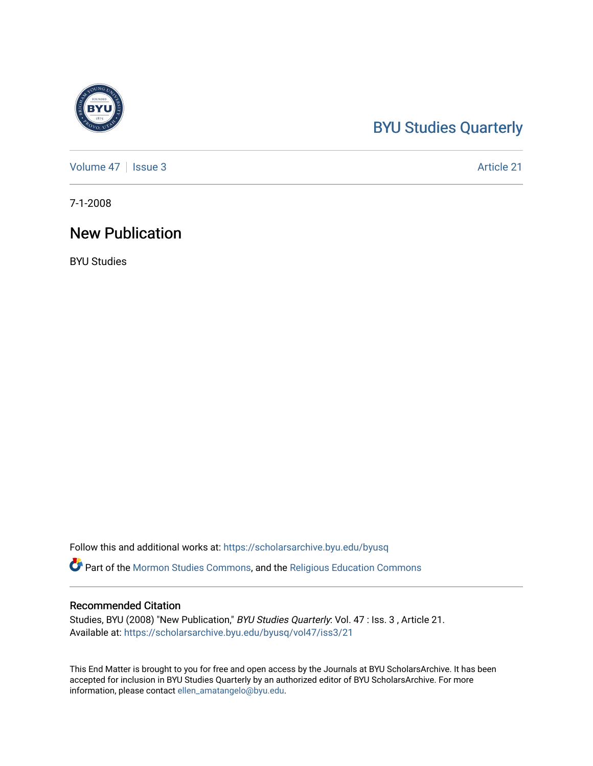## [BYU Studies Quarterly](https://scholarsarchive.byu.edu/byusq)

[Volume 47](https://scholarsarchive.byu.edu/byusq/vol47) | [Issue 3](https://scholarsarchive.byu.edu/byusq/vol47/iss3) Article 21

7-1-2008

## New Publication

BYU Studies

Follow this and additional works at: [https://scholarsarchive.byu.edu/byusq](https://scholarsarchive.byu.edu/byusq?utm_source=scholarsarchive.byu.edu%2Fbyusq%2Fvol47%2Fiss3%2F21&utm_medium=PDF&utm_campaign=PDFCoverPages) 

Part of the [Mormon Studies Commons](http://network.bepress.com/hgg/discipline/1360?utm_source=scholarsarchive.byu.edu%2Fbyusq%2Fvol47%2Fiss3%2F21&utm_medium=PDF&utm_campaign=PDFCoverPages), and the [Religious Education Commons](http://network.bepress.com/hgg/discipline/1414?utm_source=scholarsarchive.byu.edu%2Fbyusq%2Fvol47%2Fiss3%2F21&utm_medium=PDF&utm_campaign=PDFCoverPages) 

## Recommended Citation

Studies, BYU (2008) "New Publication," BYU Studies Quarterly: Vol. 47 : Iss. 3 , Article 21. Available at: [https://scholarsarchive.byu.edu/byusq/vol47/iss3/21](https://scholarsarchive.byu.edu/byusq/vol47/iss3/21?utm_source=scholarsarchive.byu.edu%2Fbyusq%2Fvol47%2Fiss3%2F21&utm_medium=PDF&utm_campaign=PDFCoverPages) 

This End Matter is brought to you for free and open access by the Journals at BYU ScholarsArchive. It has been accepted for inclusion in BYU Studies Quarterly by an authorized editor of BYU ScholarsArchive. For more information, please contact [ellen\\_amatangelo@byu.edu.](mailto:ellen_amatangelo@byu.edu)